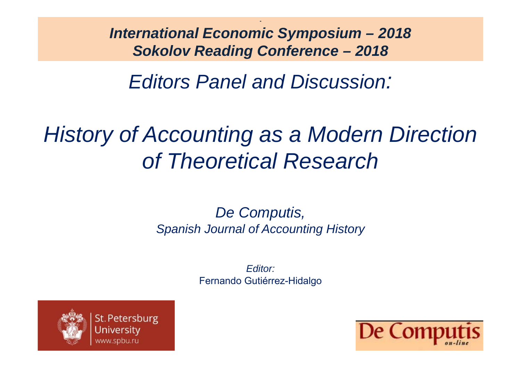*International Economic Symposium – 2018 Sokolov Reading Conference – 2018*

*Editors Panel and Discussion:*

# *History of Accounting as a Modern Direction of Theoretical Research*

#### *De Computis, Spanish Journal of Accounting History*

*Editor:*Fernando Gutiérrez-Hidalgo



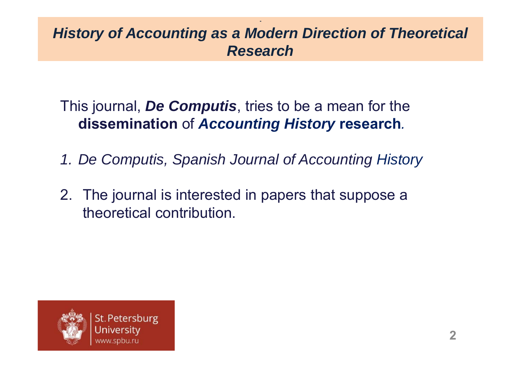This journal, *De Computis*, tries to be a mean for the **dissemination** of *Accounting History* **research***.*

- *1. De Computis, Spanish Journal of Accounting History*
- 2. The journal is interested in papers that suppose a theoretical contribution.

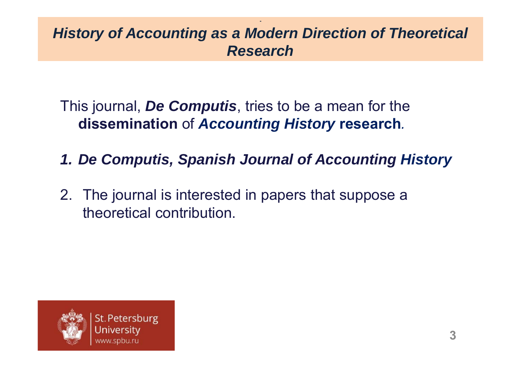This journal, *De Computis*, tries to be a mean for the **dissemination** of *Accounting History* **research***.*

- *1. De Computis, Spanish Journal of Accounting History*
- 2. The journal is interested in papers that suppose a theoretical contribution.

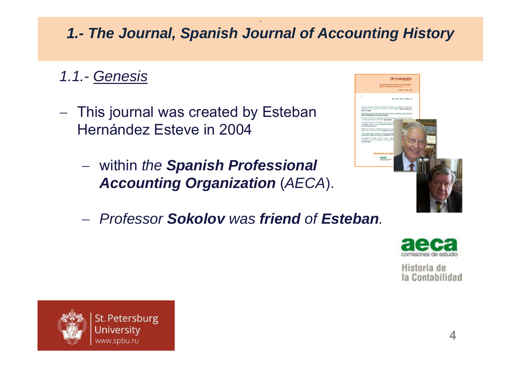- *1.1.- Genesis*
- $\overline{\phantom{m}}$  This journal was created by Esteban Hernández Esteve in 2004
	- within *the Spanish Professional Accounting Organization* (*AECA*).
	- *Professor Sokolov was friend of Esteban.*





Historia de la Contabilidad

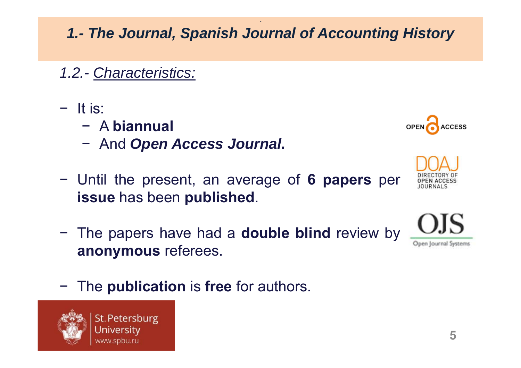# *1.2.- Characteristics:*

- − It is:
	- − A **biannual**
	- And *Open Access Journal.*
- − Until the present, an average of **6 papers** per **issue** has been **published**.
- − The papers have had <sup>a</sup> **double blind** review by **anonymous** referees.
- −The **publication** is **free** for authors.









**OPEN**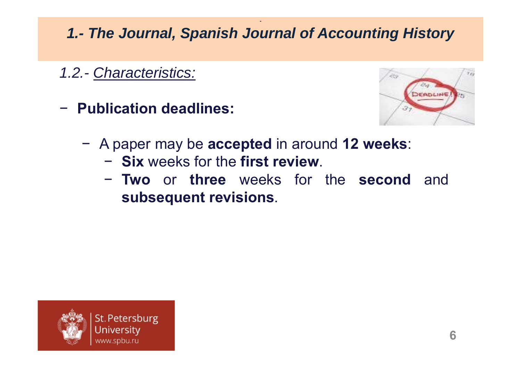*1.2.- Characteristics:*

− **Publication deadlines:**



- − A paper may be **accepted** in around **12 weeks**:
	- −**Six** weeks for the **first review**.
	- − **Two** or **three** weeks for the **second** and **subsequent revisions**.

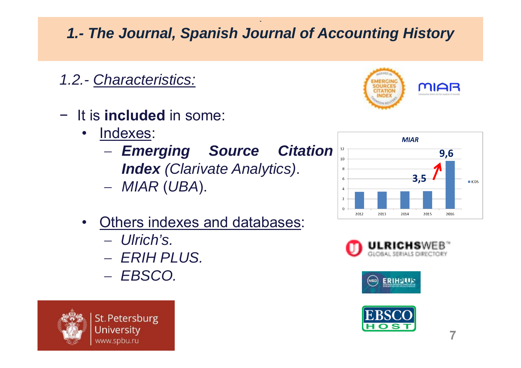*1.2.- Characteristics:*

- − It is **included** in some:
	- $\bullet$  Indexes:
		- *Emerging Source Citation Index (Clarivate Analytics)* .
		- *MIAR* (*UBA*).
	- • Others indexes and databases:
		- *Ulrich's.*
		- *ERIH PLUS.*
		- *EBSCO.*











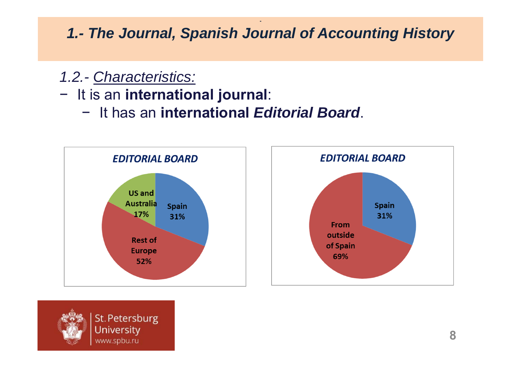#### *1.2.- Characteristics:*

## − It is an **international journal**:

− It has an **international** *Editorial Board*.





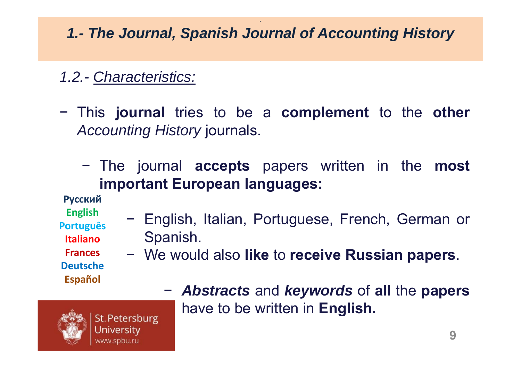# *1.2.- Characteristics:*

- − This **journal** tries to be <sup>a</sup> **complement** to the **other** *Accounting History* journals.
	- − The journal **accepts** papers written in the **most important European languages:**

**Русский**

**English Português**

**Italiano**

**Frances Deutsche**

**Español**

Spanish. − We would also **like** to **receive Russian papers**.

English, Italian, Portuguese, French, German or

 *Abstracts* and *keywords* of **all** the **papers** have to be written in **English.**



St. Petersburg University www.spbu.ru

−

−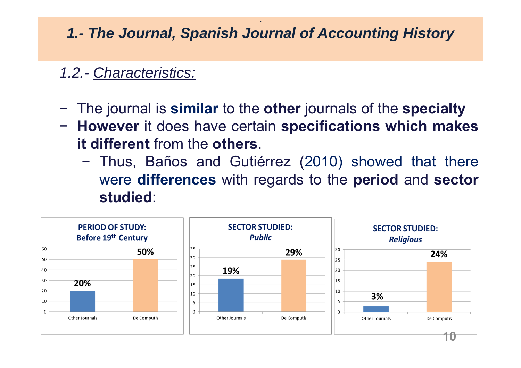## *1.2.- Characteristics:*

- −The journal is **similar** to the **other** journals of the **specialty**
- − **However** it does have certain **specifications which makes it different** from the **others**.
	- − Thus, Baños and Gutiérrez (2010) showed that there were **differences** with regards to the **period** and **sector studied**:

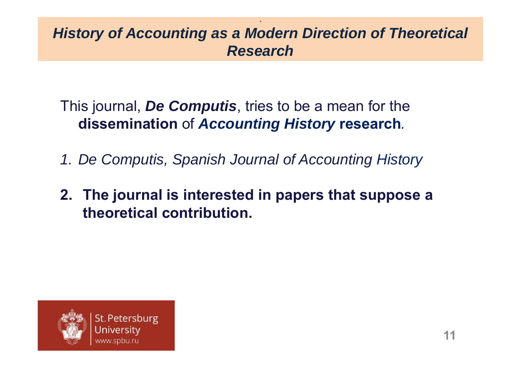This journal, *De Computis*, tries to be a mean for the **dissemination** of *Accounting History* **research***.*

- *1. De Computis, Spanish Journal of Accounting History*
- **2. The journal is interested in papers that suppose a theoretical contribution.**